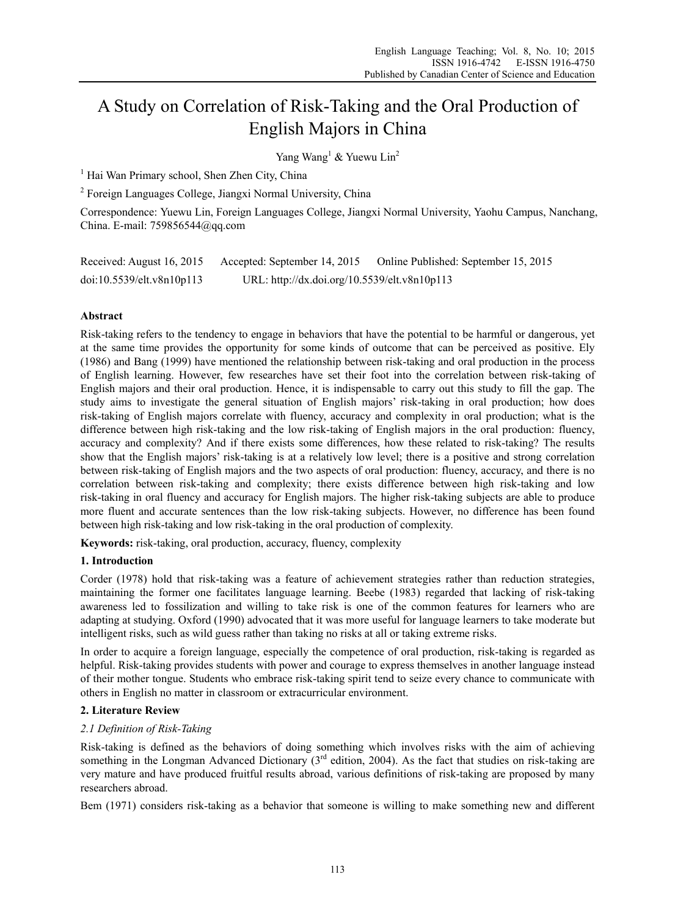# A Study on Correlation of Risk-Taking and the Oral Production of English Majors in China

Yang Wang<sup>1</sup> & Yuewu Lin<sup>2</sup>

<sup>1</sup> Hai Wan Primary school, Shen Zhen City, China

<sup>2</sup> Foreign Languages College, Jiangxi Normal University, China

Correspondence: Yuewu Lin, Foreign Languages College, Jiangxi Normal University, Yaohu Campus, Nanchang, China. E-mail: 759856544@qq.com

| Received: August 16, 2015 | Accepted: September 14, 2015                 | Online Published: September 15, 2015 |
|---------------------------|----------------------------------------------|--------------------------------------|
| doi:10.5539/elt.v8n10p113 | URL: http://dx.doi.org/10.5539/elt.v8n10p113 |                                      |

# **Abstract**

Risk-taking refers to the tendency to engage in behaviors that have the potential to be harmful or dangerous, yet at the same time provides the opportunity for some kinds of outcome that can be perceived as positive. Ely (1986) and Bang (1999) have mentioned the relationship between risk-taking and oral production in the process of English learning. However, few researches have set their foot into the correlation between risk-taking of English majors and their oral production. Hence, it is indispensable to carry out this study to fill the gap. The study aims to investigate the general situation of English majors' risk-taking in oral production; how does risk-taking of English majors correlate with fluency, accuracy and complexity in oral production; what is the difference between high risk-taking and the low risk-taking of English majors in the oral production: fluency, accuracy and complexity? And if there exists some differences, how these related to risk-taking? The results show that the English majors' risk-taking is at a relatively low level; there is a positive and strong correlation between risk-taking of English majors and the two aspects of oral production: fluency, accuracy, and there is no correlation between risk-taking and complexity; there exists difference between high risk-taking and low risk-taking in oral fluency and accuracy for English majors. The higher risk-taking subjects are able to produce more fluent and accurate sentences than the low risk-taking subjects. However, no difference has been found between high risk-taking and low risk-taking in the oral production of complexity.

**Keywords:** risk-taking, oral production, accuracy, fluency, complexity

### **1. Introduction**

Corder (1978) hold that risk-taking was a feature of achievement strategies rather than reduction strategies, maintaining the former one facilitates language learning. Beebe (1983) regarded that lacking of risk-taking awareness led to fossilization and willing to take risk is one of the common features for learners who are adapting at studying. Oxford (1990) advocated that it was more useful for language learners to take moderate but intelligent risks, such as wild guess rather than taking no risks at all or taking extreme risks.

In order to acquire a foreign language, especially the competence of oral production, risk-taking is regarded as helpful. Risk-taking provides students with power and courage to express themselves in another language instead of their mother tongue. Students who embrace risk-taking spirit tend to seize every chance to communicate with others in English no matter in classroom or extracurricular environment.

## **2. Literature Review**

### *2.1 Definition of Risk-Taking*

Risk-taking is defined as the behaviors of doing something which involves risks with the aim of achieving something in the Longman Advanced Dictionary ( $3<sup>rd</sup>$  edition, 2004). As the fact that studies on risk-taking are very mature and have produced fruitful results abroad, various definitions of risk-taking are proposed by many researchers abroad.

Bem (1971) considers risk-taking as a behavior that someone is willing to make something new and different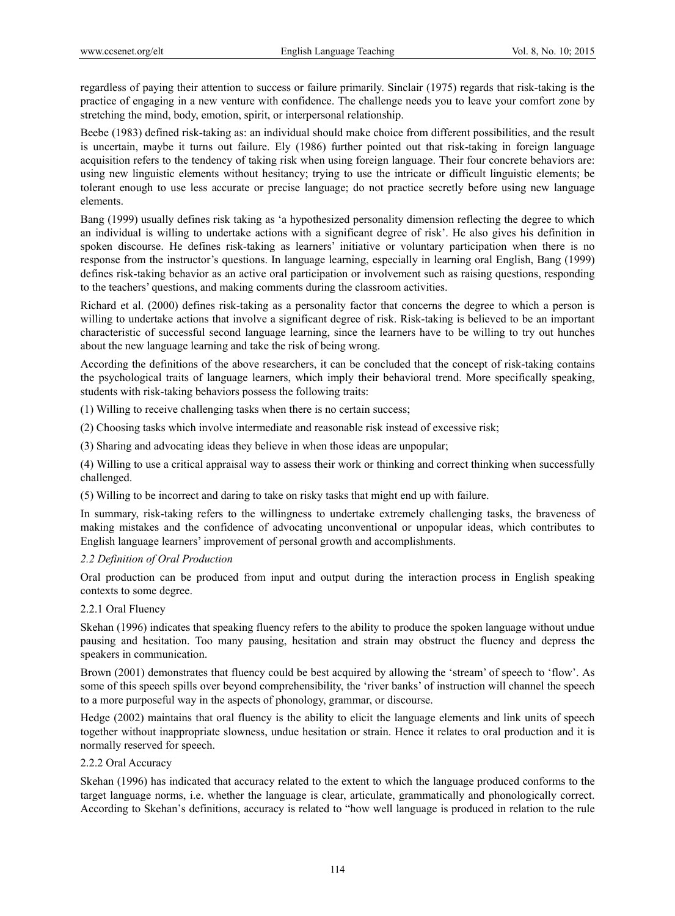regardless of paying their attention to success or failure primarily. Sinclair (1975) regards that risk-taking is the practice of engaging in a new venture with confidence. The challenge needs you to leave your comfort zone by stretching the mind, body, emotion, spirit, or interpersonal relationship.

Beebe (1983) defined risk-taking as: an individual should make choice from different possibilities, and the result is uncertain, maybe it turns out failure. Ely (1986) further pointed out that risk-taking in foreign language acquisition refers to the tendency of taking risk when using foreign language. Their four concrete behaviors are: using new linguistic elements without hesitancy; trying to use the intricate or difficult linguistic elements; be tolerant enough to use less accurate or precise language; do not practice secretly before using new language elements.

Bang (1999) usually defines risk taking as 'a hypothesized personality dimension reflecting the degree to which an individual is willing to undertake actions with a significant degree of risk'. He also gives his definition in spoken discourse. He defines risk-taking as learners' initiative or voluntary participation when there is no response from the instructor's questions. In language learning, especially in learning oral English, Bang (1999) defines risk-taking behavior as an active oral participation or involvement such as raising questions, responding to the teachers' questions, and making comments during the classroom activities.

Richard et al. (2000) defines risk-taking as a personality factor that concerns the degree to which a person is willing to undertake actions that involve a significant degree of risk. Risk-taking is believed to be an important characteristic of successful second language learning, since the learners have to be willing to try out hunches about the new language learning and take the risk of being wrong.

According the definitions of the above researchers, it can be concluded that the concept of risk-taking contains the psychological traits of language learners, which imply their behavioral trend. More specifically speaking, students with risk-taking behaviors possess the following traits:

(1) Willing to receive challenging tasks when there is no certain success;

(2) Choosing tasks which involve intermediate and reasonable risk instead of excessive risk;

(3) Sharing and advocating ideas they believe in when those ideas are unpopular;

(4) Willing to use a critical appraisal way to assess their work or thinking and correct thinking when successfully challenged.

(5) Willing to be incorrect and daring to take on risky tasks that might end up with failure.

In summary, risk-taking refers to the willingness to undertake extremely challenging tasks, the braveness of making mistakes and the confidence of advocating unconventional or unpopular ideas, which contributes to English language learners' improvement of personal growth and accomplishments.

### *2.2 Definition of Oral Production*

Oral production can be produced from input and output during the interaction process in English speaking contexts to some degree.

## 2.2.1 Oral Fluency

Skehan (1996) indicates that speaking fluency refers to the ability to produce the spoken language without undue pausing and hesitation. Too many pausing, hesitation and strain may obstruct the fluency and depress the speakers in communication.

Brown (2001) demonstrates that fluency could be best acquired by allowing the 'stream' of speech to 'flow'. As some of this speech spills over beyond comprehensibility, the 'river banks' of instruction will channel the speech to a more purposeful way in the aspects of phonology, grammar, or discourse.

Hedge (2002) maintains that oral fluency is the ability to elicit the language elements and link units of speech together without inappropriate slowness, undue hesitation or strain. Hence it relates to oral production and it is normally reserved for speech.

# 2.2.2 Oral Accuracy

Skehan (1996) has indicated that accuracy related to the extent to which the language produced conforms to the target language norms, i.e. whether the language is clear, articulate, grammatically and phonologically correct. According to Skehan's definitions, accuracy is related to "how well language is produced in relation to the rule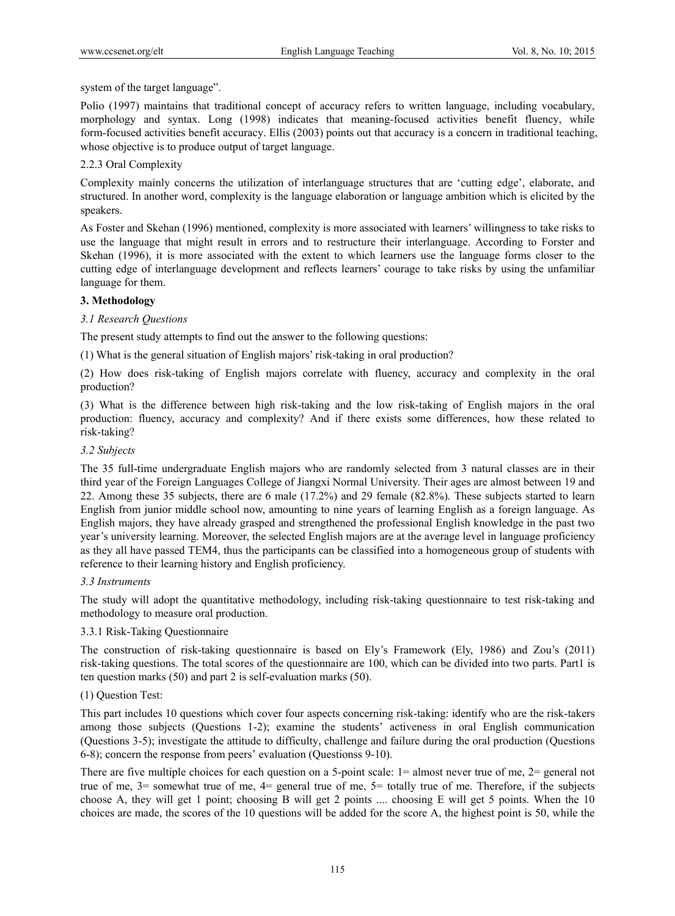#### system of the target language".

Polio (1997) maintains that traditional concept of accuracy refers to written language, including vocabulary, morphology and syntax. Long (1998) indicates that meaning-focused activities benefit fluency, while form-focused activities benefit accuracy. Ellis (2003) points out that accuracy is a concern in traditional teaching, whose objective is to produce output of target language.

### 2.2.3 Oral Complexity

Complexity mainly concerns the utilization of interlanguage structures that are 'cutting edge', elaborate, and structured. In another word, complexity is the language elaboration or language ambition which is elicited by the speakers.

As Foster and Skehan (1996) mentioned, complexity is more associated with learners' willingness to take risks to use the language that might result in errors and to restructure their interlanguage. According to Forster and Skehan (1996), it is more associated with the extent to which learners use the language forms closer to the cutting edge of interlanguage development and reflects learners' courage to take risks by using the unfamiliar language for them.

# **3. Methodology**

### *3.1 Research Questions*

The present study attempts to find out the answer to the following questions:

(1) What is the general situation of English majors' risk-taking in oral production?

(2) How does risk-taking of English majors correlate with fluency, accuracy and complexity in the oral production?

(3) What is the difference between high risk-taking and the low risk-taking of English majors in the oral production: fluency, accuracy and complexity? And if there exists some differences, how these related to risk-taking?

## *3.2 Subjects*

The 35 full-time undergraduate English majors who are randomly selected from 3 natural classes are in their third year of the Foreign Languages College of Jiangxi Normal University. Their ages are almost between 19 and 22. Among these 35 subjects, there are 6 male (17.2%) and 29 female (82.8%). These subjects started to learn English from junior middle school now, amounting to nine years of learning English as a foreign language. As English majors, they have already grasped and strengthened the professional English knowledge in the past two year's university learning. Moreover, the selected English majors are at the average level in language proficiency as they all have passed TEM4, thus the participants can be classified into a homogeneous group of students with reference to their learning history and English proficiency.

#### *3.3 Instruments*

The study will adopt the quantitative methodology, including risk-taking questionnaire to test risk-taking and methodology to measure oral production.

### 3.3.1 Risk-Taking Questionnaire

The construction of risk-taking questionnaire is based on Ely's Framework (Ely, 1986) and Zou's (2011) risk-taking questions. The total scores of the questionnaire are 100, which can be divided into two parts. Part1 is ten question marks (50) and part 2 is self-evaluation marks (50).

## (1) Question Test:

This part includes 10 questions which cover four aspects concerning risk-taking: identify who are the risk-takers among those subjects (Questions 1-2); examine the students' activeness in oral English communication (Questions 3-5); investigate the attitude to difficulty, challenge and failure during the oral production (Questions 6-8); concern the response from peers' evaluation (Questionss 9-10).

There are five multiple choices for each question on a 5-point scale: 1 = almost never true of me, 2 = general not true of me, 3= somewhat true of me, 4= general true of me, 5= totally true of me. Therefore, if the subjects choose A, they will get 1 point; choosing B will get 2 points .... choosing E will get 5 points. When the 10 choices are made, the scores of the 10 questions will be added for the score A, the highest point is 50, while the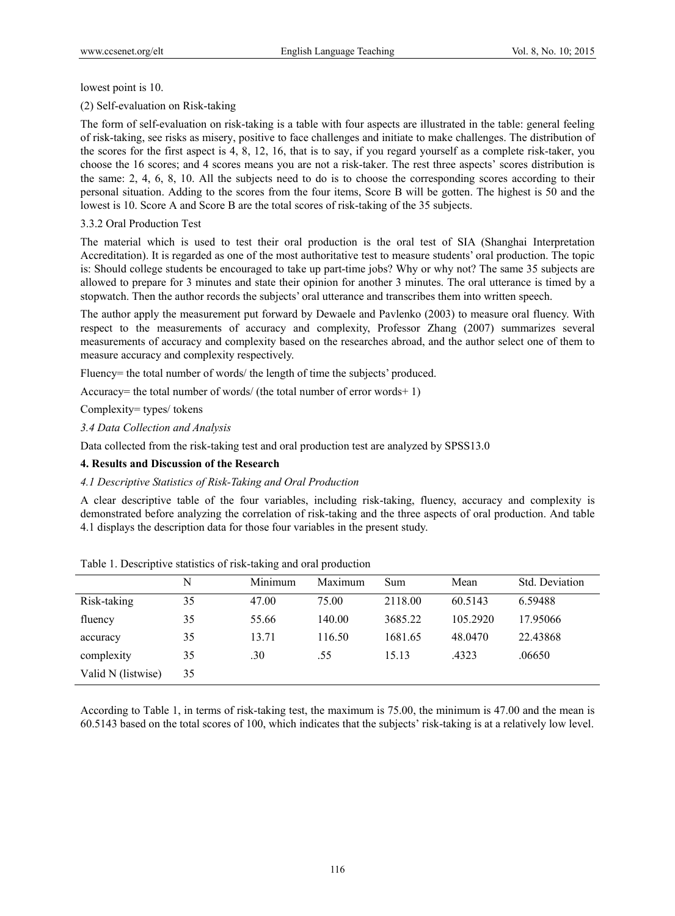lowest point is 10.

## (2) Self-evaluation on Risk-taking

The form of self-evaluation on risk-taking is a table with four aspects are illustrated in the table: general feeling of risk-taking, see risks as misery, positive to face challenges and initiate to make challenges. The distribution of the scores for the first aspect is 4, 8, 12, 16, that is to say, if you regard yourself as a complete risk-taker, you choose the 16 scores; and 4 scores means you are not a risk-taker. The rest three aspects' scores distribution is the same: 2, 4, 6, 8, 10. All the subjects need to do is to choose the corresponding scores according to their personal situation. Adding to the scores from the four items, Score B will be gotten. The highest is 50 and the lowest is 10. Score A and Score B are the total scores of risk-taking of the 35 subjects.

#### 3.3.2 Oral Production Test

The material which is used to test their oral production is the oral test of SIA (Shanghai Interpretation Accreditation). It is regarded as one of the most authoritative test to measure students' oral production. The topic is: Should college students be encouraged to take up part-time jobs? Why or why not? The same 35 subjects are allowed to prepare for 3 minutes and state their opinion for another 3 minutes. The oral utterance is timed by a stopwatch. Then the author records the subjects' oral utterance and transcribes them into written speech.

The author apply the measurement put forward by Dewaele and Pavlenko (2003) to measure oral fluency. With respect to the measurements of accuracy and complexity, Professor Zhang (2007) summarizes several measurements of accuracy and complexity based on the researches abroad, and the author select one of them to measure accuracy and complexity respectively.

Fluency= the total number of words/ the length of time the subjects' produced.

Accuracy= the total number of words/ (the total number of error words+ 1)

Complexity= types/ tokens

*3.4 Data Collection and Analysis* 

Data collected from the risk-taking test and oral production test are analyzed by SPSS13.0

#### **4. Results and Discussion of the Research**

#### *4.1 Descriptive Statistics of Risk-Taking and Oral Production*

A clear descriptive table of the four variables, including risk-taking, fluency, accuracy and complexity is demonstrated before analyzing the correlation of risk-taking and the three aspects of oral production. And table 4.1 displays the description data for those four variables in the present study.

|                    | N  | Minimum | Maximum | Sum     | Mean     | Std. Deviation |  |
|--------------------|----|---------|---------|---------|----------|----------------|--|
| Risk-taking        | 35 | 47.00   | 75.00   | 2118.00 | 60.5143  | 6.59488        |  |
| fluency            | 35 | 55.66   | 140.00  | 3685.22 | 105.2920 | 17.95066       |  |
| accuracy           | 35 | 13.71   | 116.50  | 1681.65 | 48.0470  | 22.43868       |  |
| complexity         | 35 | .30     | .55     | 15.13   | .4323    | .06650         |  |
| Valid N (listwise) | 35 |         |         |         |          |                |  |

Table 1. Descriptive statistics of risk-taking and oral production

According to Table 1, in terms of risk-taking test, the maximum is 75.00, the minimum is 47.00 and the mean is 60.5143 based on the total scores of 100, which indicates that the subjects' risk-taking is at a relatively low level.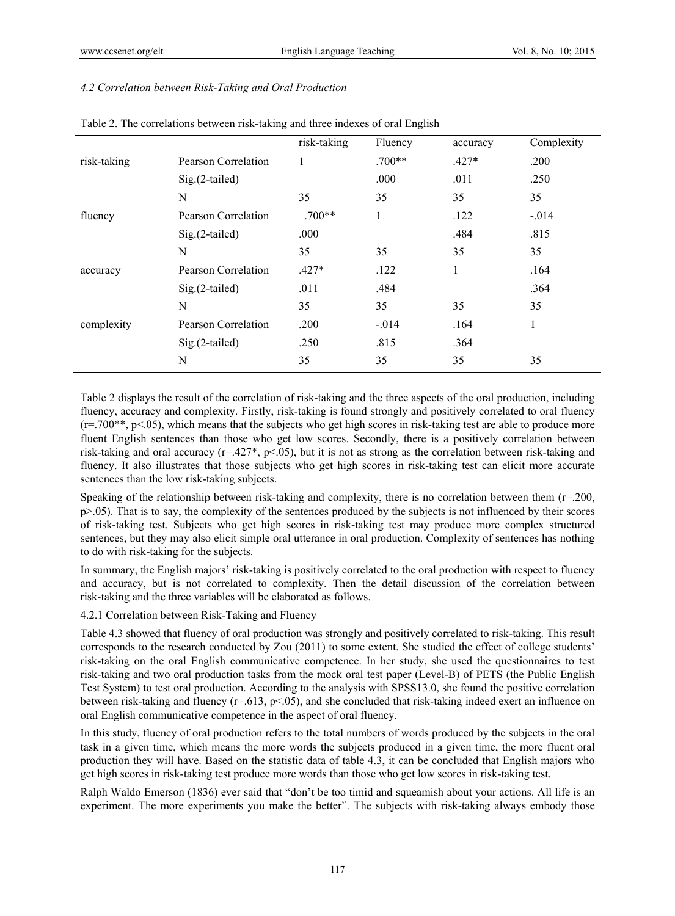## *4.2 Correlation between Risk-Taking and Oral Production*

|             |                     | risk-taking | Fluency  | accuracy | Complexity |
|-------------|---------------------|-------------|----------|----------|------------|
| risk-taking | Pearson Correlation |             | $.700**$ | $.427*$  | .200       |
|             | $Sig.(2-tailed)$    |             | .000     | .011     | .250       |
|             | N                   | 35          | 35       | 35       | 35         |
| fluency     | Pearson Correlation | $.700**$    | 1        | .122     | $-.014$    |
|             | $Sig.(2-tailed)$    | .000        |          | .484     | .815       |
|             | N                   | 35          | 35       | 35       | 35         |
| accuracy    | Pearson Correlation | $.427*$     | .122     | 1        | .164       |
|             | $Sig.(2-tailed)$    | .011        | .484     |          | .364       |
|             | N                   | 35          | 35       | 35       | 35         |
| complexity  | Pearson Correlation | .200        | $-.014$  | .164     |            |
|             | $Sig.(2-tailed)$    | .250        | .815     | .364     |            |
|             | N                   | 35          | 35       | 35       | 35         |

Table 2. The correlations between risk-taking and three indexes of oral English

Table 2 displays the result of the correlation of risk-taking and the three aspects of the oral production, including fluency, accuracy and complexity. Firstly, risk-taking is found strongly and positively correlated to oral fluency  $(r=700**, p<.05)$ , which means that the subjects who get high scores in risk-taking test are able to produce more fluent English sentences than those who get low scores. Secondly, there is a positively correlation between risk-taking and oral accuracy ( $r=427^*$ ,  $p<0.05$ ), but it is not as strong as the correlation between risk-taking and fluency. It also illustrates that those subjects who get high scores in risk-taking test can elicit more accurate sentences than the low risk-taking subjects.

Speaking of the relationship between risk-taking and complexity, there is no correlation between them  $(r=200,$ p>.05). That is to say, the complexity of the sentences produced by the subjects is not influenced by their scores of risk-taking test. Subjects who get high scores in risk-taking test may produce more complex structured sentences, but they may also elicit simple oral utterance in oral production. Complexity of sentences has nothing to do with risk-taking for the subjects.

In summary, the English majors' risk-taking is positively correlated to the oral production with respect to fluency and accuracy, but is not correlated to complexity. Then the detail discussion of the correlation between risk-taking and the three variables will be elaborated as follows.

### 4.2.1 Correlation between Risk-Taking and Fluency

Table 4.3 showed that fluency of oral production was strongly and positively correlated to risk-taking. This result corresponds to the research conducted by Zou (2011) to some extent. She studied the effect of college students' risk-taking on the oral English communicative competence. In her study, she used the questionnaires to test risk-taking and two oral production tasks from the mock oral test paper (Level-B) of PETS (the Public English Test System) to test oral production. According to the analysis with SPSS13.0, she found the positive correlation between risk-taking and fluency ( $r=0.613$ ,  $p<0.65$ ), and she concluded that risk-taking indeed exert an influence on oral English communicative competence in the aspect of oral fluency.

In this study, fluency of oral production refers to the total numbers of words produced by the subjects in the oral task in a given time, which means the more words the subjects produced in a given time, the more fluent oral production they will have. Based on the statistic data of table 4.3, it can be concluded that English majors who get high scores in risk-taking test produce more words than those who get low scores in risk-taking test.

Ralph Waldo Emerson (1836) ever said that "don't be too timid and squeamish about your actions. All life is an experiment. The more experiments you make the better". The subjects with risk-taking always embody those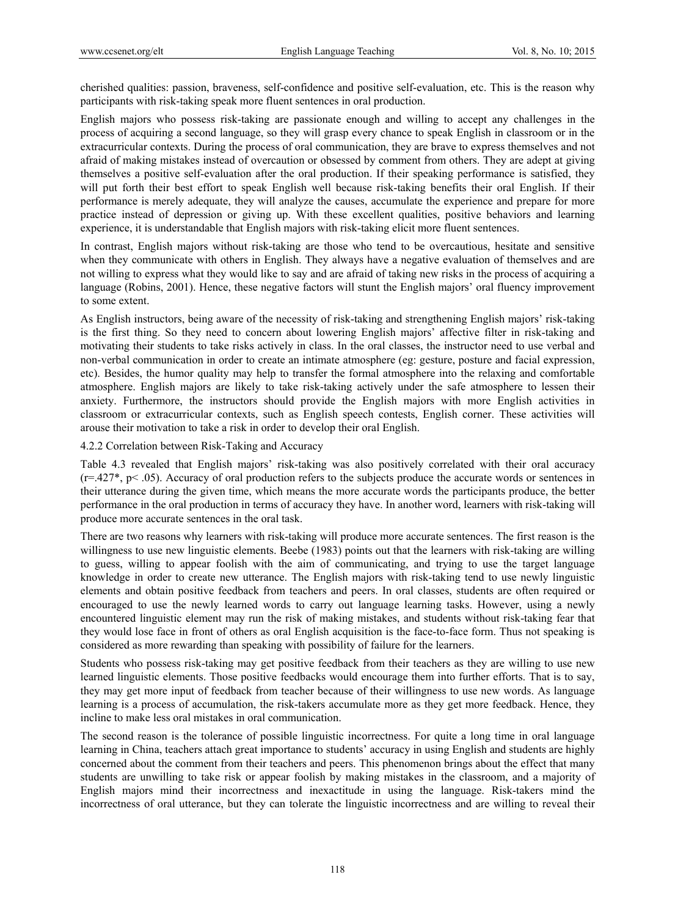cherished qualities: passion, braveness, self-confidence and positive self-evaluation, etc. This is the reason why participants with risk-taking speak more fluent sentences in oral production.

English majors who possess risk-taking are passionate enough and willing to accept any challenges in the process of acquiring a second language, so they will grasp every chance to speak English in classroom or in the extracurricular contexts. During the process of oral communication, they are brave to express themselves and not afraid of making mistakes instead of overcaution or obsessed by comment from others. They are adept at giving themselves a positive self-evaluation after the oral production. If their speaking performance is satisfied, they will put forth their best effort to speak English well because risk-taking benefits their oral English. If their performance is merely adequate, they will analyze the causes, accumulate the experience and prepare for more practice instead of depression or giving up. With these excellent qualities, positive behaviors and learning experience, it is understandable that English majors with risk-taking elicit more fluent sentences.

In contrast, English majors without risk-taking are those who tend to be overcautious, hesitate and sensitive when they communicate with others in English. They always have a negative evaluation of themselves and are not willing to express what they would like to say and are afraid of taking new risks in the process of acquiring a language (Robins, 2001). Hence, these negative factors will stunt the English majors' oral fluency improvement to some extent.

As English instructors, being aware of the necessity of risk-taking and strengthening English majors' risk-taking is the first thing. So they need to concern about lowering English majors' affective filter in risk-taking and motivating their students to take risks actively in class. In the oral classes, the instructor need to use verbal and non-verbal communication in order to create an intimate atmosphere (eg: gesture, posture and facial expression, etc). Besides, the humor quality may help to transfer the formal atmosphere into the relaxing and comfortable atmosphere. English majors are likely to take risk-taking actively under the safe atmosphere to lessen their anxiety. Furthermore, the instructors should provide the English majors with more English activities in classroom or extracurricular contexts, such as English speech contests, English corner. These activities will arouse their motivation to take a risk in order to develop their oral English.

#### 4.2.2 Correlation between Risk-Taking and Accuracy

Table 4.3 revealed that English majors' risk-taking was also positively correlated with their oral accuracy  $(r=427^*)$ , p< .05). Accuracy of oral production refers to the subjects produce the accurate words or sentences in their utterance during the given time, which means the more accurate words the participants produce, the better performance in the oral production in terms of accuracy they have. In another word, learners with risk-taking will produce more accurate sentences in the oral task.

There are two reasons why learners with risk-taking will produce more accurate sentences. The first reason is the willingness to use new linguistic elements. Beebe (1983) points out that the learners with risk-taking are willing to guess, willing to appear foolish with the aim of communicating, and trying to use the target language knowledge in order to create new utterance. The English majors with risk-taking tend to use newly linguistic elements and obtain positive feedback from teachers and peers. In oral classes, students are often required or encouraged to use the newly learned words to carry out language learning tasks. However, using a newly encountered linguistic element may run the risk of making mistakes, and students without risk-taking fear that they would lose face in front of others as oral English acquisition is the face-to-face form. Thus not speaking is considered as more rewarding than speaking with possibility of failure for the learners.

Students who possess risk-taking may get positive feedback from their teachers as they are willing to use new learned linguistic elements. Those positive feedbacks would encourage them into further efforts. That is to say, they may get more input of feedback from teacher because of their willingness to use new words. As language learning is a process of accumulation, the risk-takers accumulate more as they get more feedback. Hence, they incline to make less oral mistakes in oral communication.

The second reason is the tolerance of possible linguistic incorrectness. For quite a long time in oral language learning in China, teachers attach great importance to students' accuracy in using English and students are highly concerned about the comment from their teachers and peers. This phenomenon brings about the effect that many students are unwilling to take risk or appear foolish by making mistakes in the classroom, and a majority of English majors mind their incorrectness and inexactitude in using the language. Risk-takers mind the incorrectness of oral utterance, but they can tolerate the linguistic incorrectness and are willing to reveal their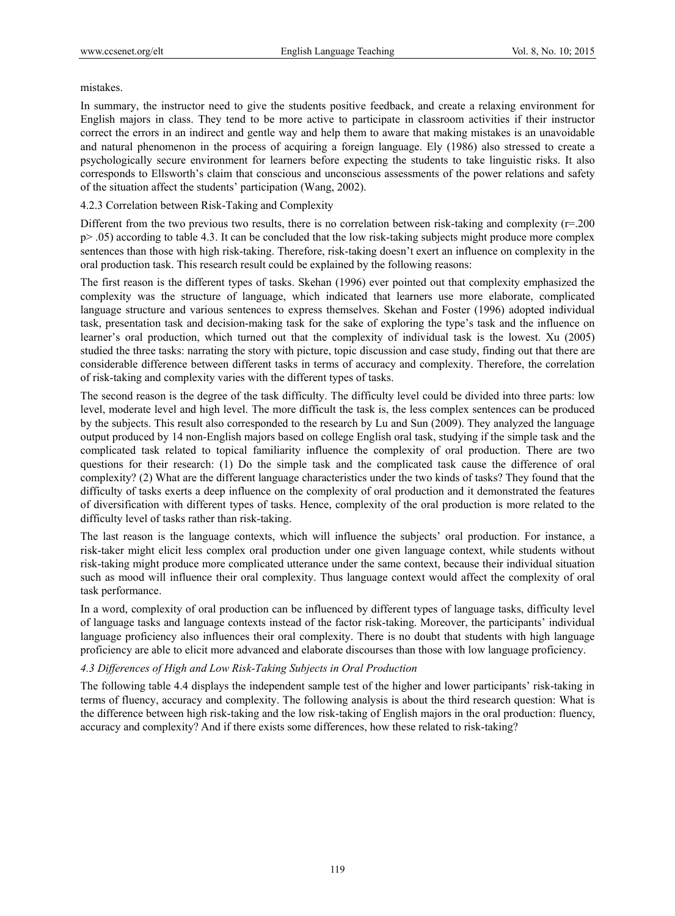#### mistakes.

In summary, the instructor need to give the students positive feedback, and create a relaxing environment for English majors in class. They tend to be more active to participate in classroom activities if their instructor correct the errors in an indirect and gentle way and help them to aware that making mistakes is an unavoidable and natural phenomenon in the process of acquiring a foreign language. Ely (1986) also stressed to create a psychologically secure environment for learners before expecting the students to take linguistic risks. It also corresponds to Ellsworth's claim that conscious and unconscious assessments of the power relations and safety of the situation affect the students' participation (Wang, 2002).

#### 4.2.3 Correlation between Risk-Taking and Complexity

Different from the two previous two results, there is no correlation between risk-taking and complexity  $(r=200$ p> .05) according to table 4.3. It can be concluded that the low risk-taking subjects might produce more complex sentences than those with high risk-taking. Therefore, risk-taking doesn't exert an influence on complexity in the oral production task. This research result could be explained by the following reasons:

The first reason is the different types of tasks. Skehan (1996) ever pointed out that complexity emphasized the complexity was the structure of language, which indicated that learners use more elaborate, complicated language structure and various sentences to express themselves. Skehan and Foster (1996) adopted individual task, presentation task and decision-making task for the sake of exploring the type's task and the influence on learner's oral production, which turned out that the complexity of individual task is the lowest. Xu (2005) studied the three tasks: narrating the story with picture, topic discussion and case study, finding out that there are considerable difference between different tasks in terms of accuracy and complexity. Therefore, the correlation of risk-taking and complexity varies with the different types of tasks.

The second reason is the degree of the task difficulty. The difficulty level could be divided into three parts: low level, moderate level and high level. The more difficult the task is, the less complex sentences can be produced by the subjects. This result also corresponded to the research by Lu and Sun (2009). They analyzed the language output produced by 14 non-English majors based on college English oral task, studying if the simple task and the complicated task related to topical familiarity influence the complexity of oral production. There are two questions for their research: (1) Do the simple task and the complicated task cause the difference of oral complexity? (2) What are the different language characteristics under the two kinds of tasks? They found that the difficulty of tasks exerts a deep influence on the complexity of oral production and it demonstrated the features of diversification with different types of tasks. Hence, complexity of the oral production is more related to the difficulty level of tasks rather than risk-taking.

The last reason is the language contexts, which will influence the subjects' oral production. For instance, a risk-taker might elicit less complex oral production under one given language context, while students without risk-taking might produce more complicated utterance under the same context, because their individual situation such as mood will influence their oral complexity. Thus language context would affect the complexity of oral task performance.

In a word, complexity of oral production can be influenced by different types of language tasks, difficulty level of language tasks and language contexts instead of the factor risk-taking. Moreover, the participants' individual language proficiency also influences their oral complexity. There is no doubt that students with high language proficiency are able to elicit more advanced and elaborate discourses than those with low language proficiency.

### *4.3 Differences of High and Low Risk-Taking Subjects in Oral Production*

The following table 4.4 displays the independent sample test of the higher and lower participants' risk-taking in terms of fluency, accuracy and complexity. The following analysis is about the third research question: What is the difference between high risk-taking and the low risk-taking of English majors in the oral production: fluency, accuracy and complexity? And if there exists some differences, how these related to risk-taking?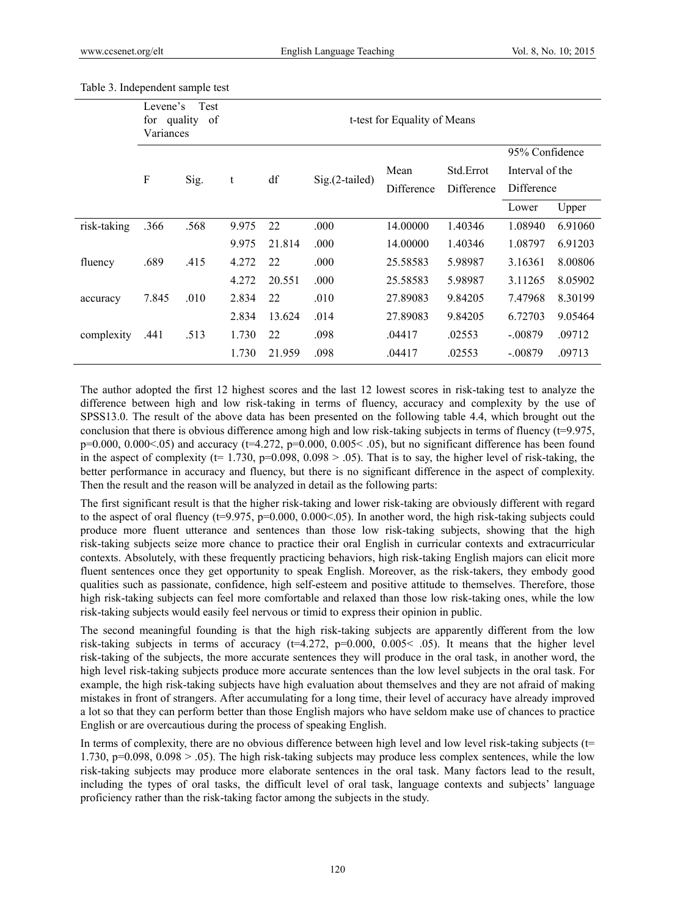|             | Test<br>Levene's<br>for quality<br>t-test for Equality of Means<br>of<br>Variances |      |       |        |                  |                    |                         |                 |         |  |
|-------------|------------------------------------------------------------------------------------|------|-------|--------|------------------|--------------------|-------------------------|-----------------|---------|--|
|             |                                                                                    |      |       |        |                  |                    |                         | 95% Confidence  |         |  |
|             | F<br>Sig.                                                                          |      | t     | df     | $Sig.(2-tailed)$ | Mean<br>Difference | Std.Errot<br>Difference | Interval of the |         |  |
|             |                                                                                    |      |       |        |                  |                    |                         | Difference      |         |  |
|             |                                                                                    |      |       |        |                  |                    |                         | Lower           | Upper   |  |
| risk-taking | .366                                                                               | .568 | 9.975 | 22     | .000             | 14.00000           | 1.40346                 | 1.08940         | 6.91060 |  |
|             |                                                                                    |      | 9.975 | 21.814 | .000             | 14.00000           | 1.40346                 | 1.08797         | 6.91203 |  |
| fluency     | .689                                                                               | .415 | 4.272 | 22     | .000             | 25.58583           | 5.98987                 | 3.16361         | 8.00806 |  |
|             |                                                                                    |      | 4.272 | 20.551 | .000             | 25.58583           | 5.98987                 | 3.11265         | 8.05902 |  |
| accuracy    | 7.845                                                                              | .010 | 2.834 | 22     | .010             | 27.89083           | 9.84205                 | 7.47968         | 8.30199 |  |
|             |                                                                                    |      | 2.834 | 13.624 | .014             | 27.89083           | 9.84205                 | 6.72703         | 9.05464 |  |
| complexity  | .441                                                                               | .513 | 1.730 | 22     | .098             | .04417             | .02553                  | $-.00879$       | .09712  |  |
|             |                                                                                    |      | 1.730 | 21.959 | .098             | .04417             | .02553                  | $-.00879$       | .09713  |  |

#### Table 3. Independent sample test

The author adopted the first 12 highest scores and the last 12 lowest scores in risk-taking test to analyze the difference between high and low risk-taking in terms of fluency, accuracy and complexity by the use of SPSS13.0. The result of the above data has been presented on the following table 4.4, which brought out the conclusion that there is obvious difference among high and low risk-taking subjects in terms of fluency  $(t=9.975)$ ,  $p=0.000, 0.000<0.05$ ) and accuracy ( $t=4.272, p=0.000, 0.005<0.05$ ), but no significant difference has been found in the aspect of complexity (t= 1.730, p=0.098, 0.098  $> 0.05$ ). That is to say, the higher level of risk-taking, the better performance in accuracy and fluency, but there is no significant difference in the aspect of complexity. Then the result and the reason will be analyzed in detail as the following parts:

The first significant result is that the higher risk-taking and lower risk-taking are obviously different with regard to the aspect of oral fluency ( $t=9.975$ ,  $p=0.000$ ,  $0.000<0.05$ ). In another word, the high risk-taking subjects could produce more fluent utterance and sentences than those low risk-taking subjects, showing that the high risk-taking subjects seize more chance to practice their oral English in curricular contexts and extracurricular contexts. Absolutely, with these frequently practicing behaviors, high risk-taking English majors can elicit more fluent sentences once they get opportunity to speak English. Moreover, as the risk-takers, they embody good qualities such as passionate, confidence, high self-esteem and positive attitude to themselves. Therefore, those high risk-taking subjects can feel more comfortable and relaxed than those low risk-taking ones, while the low risk-taking subjects would easily feel nervous or timid to express their opinion in public.

The second meaningful founding is that the high risk-taking subjects are apparently different from the low risk-taking subjects in terms of accuracy  $(t=4.272, p=0.000, 0.005< .05)$ . It means that the higher level risk-taking of the subjects, the more accurate sentences they will produce in the oral task, in another word, the high level risk-taking subjects produce more accurate sentences than the low level subjects in the oral task. For example, the high risk-taking subjects have high evaluation about themselves and they are not afraid of making mistakes in front of strangers. After accumulating for a long time, their level of accuracy have already improved a lot so that they can perform better than those English majors who have seldom make use of chances to practice English or are overcautious during the process of speaking English.

In terms of complexity, there are no obvious difference between high level and low level risk-taking subjects ( $t=$ 1.730, p=0.098, 0.098  $> 0.05$ ). The high risk-taking subjects may produce less complex sentences, while the low risk-taking subjects may produce more elaborate sentences in the oral task. Many factors lead to the result, including the types of oral tasks, the difficult level of oral task, language contexts and subjects' language proficiency rather than the risk-taking factor among the subjects in the study.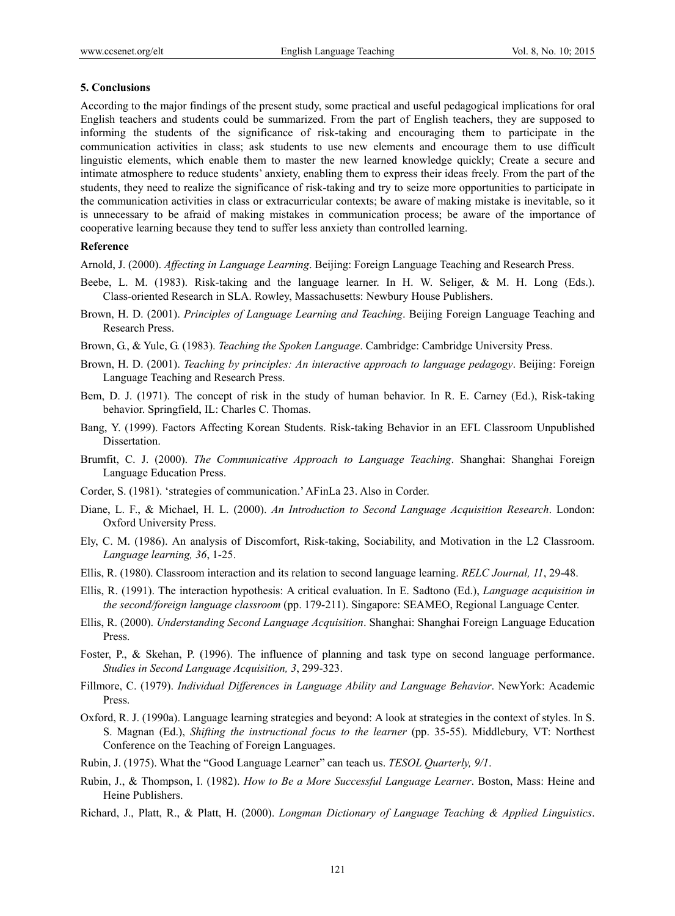#### **5. Conclusions**

According to the major findings of the present study, some practical and useful pedagogical implications for oral English teachers and students could be summarized. From the part of English teachers, they are supposed to informing the students of the significance of risk-taking and encouraging them to participate in the communication activities in class; ask students to use new elements and encourage them to use difficult linguistic elements, which enable them to master the new learned knowledge quickly; Create a secure and intimate atmosphere to reduce students' anxiety, enabling them to express their ideas freely. From the part of the students, they need to realize the significance of risk-taking and try to seize more opportunities to participate in the communication activities in class or extracurricular contexts; be aware of making mistake is inevitable, so it is unnecessary to be afraid of making mistakes in communication process; be aware of the importance of cooperative learning because they tend to suffer less anxiety than controlled learning.

#### **Reference**

- Arnold, J. (2000). *Affecting in Language Learning*. Beijing: Foreign Language Teaching and Research Press.
- Beebe, L. M. (1983). Risk-taking and the language learner. In H. W. Seliger, & M. H. Long (Eds.). Class-oriented Research in SLA. Rowley, Massachusetts: Newbury House Publishers.
- Brown, H. D. (2001). *Principles of Language Learning and Teaching*. Beijing Foreign Language Teaching and Research Press.
- Brown, G., & Yule, G. (1983). *Teaching the Spoken Language*. Cambridge: Cambridge University Press.
- Brown, H. D. (2001). *Teaching by principles: An interactive approach to language pedagogy*. Beijing: Foreign Language Teaching and Research Press.
- Bem, D. J. (1971). The concept of risk in the study of human behavior. In R. E. Carney (Ed.), Risk-taking behavior. Springfield, IL: Charles C. Thomas.
- Bang, Y. (1999). Factors Affecting Korean Students. Risk-taking Behavior in an EFL Classroom Unpublished Dissertation.
- Brumfit, C. J. (2000). *The Communicative Approach to Language Teaching*. Shanghai: Shanghai Foreign Language Education Press.
- Corder, S. (1981). 'strategies of communication.' AFinLa 23. Also in Corder.
- Diane, L. F., & Michael, H. L. (2000). *An Introduction to Second Language Acquisition Research*. London: Oxford University Press.
- Ely, C. M. (1986). An analysis of Discomfort, Risk-taking, Sociability, and Motivation in the L2 Classroom. *Language learning, 36*, 1-25.
- Ellis, R. (1980). Classroom interaction and its relation to second language learning. *RELC Journal, 11*, 29-48.
- Ellis, R. (1991). The interaction hypothesis: A critical evaluation. In E. Sadtono (Ed.), *Language acquisition in the second/foreign language classroom* (pp. 179-211). Singapore: SEAMEO, Regional Language Center.
- Ellis, R. (2000). *Understanding Second Language Acquisition*. Shanghai: Shanghai Foreign Language Education Press.
- Foster, P., & Skehan, P. (1996). The influence of planning and task type on second language performance. *Studies in Second Language Acquisition, 3*, 299-323.
- Fillmore, C. (1979). *Individual Differences in Language Ability and Language Behavior*. NewYork: Academic Press.
- Oxford, R. J. (1990a). Language learning strategies and beyond: A look at strategies in the context of styles. In S. S. Magnan (Ed.), *Shifting the instructional focus to the learner* (pp. 35-55). Middlebury, VT: Northest Conference on the Teaching of Foreign Languages.
- Rubin, J. (1975). What the "Good Language Learner" can teach us. *TESOL Quarterly, 9/1*.
- Rubin, J., & Thompson, I. (1982). *How to Be a More Successful Language Learner*. Boston, Mass: Heine and Heine Publishers.
- Richard, J., Platt, R., & Platt, H. (2000). *Longman Dictionary of Language Teaching & Applied Linguistics*.